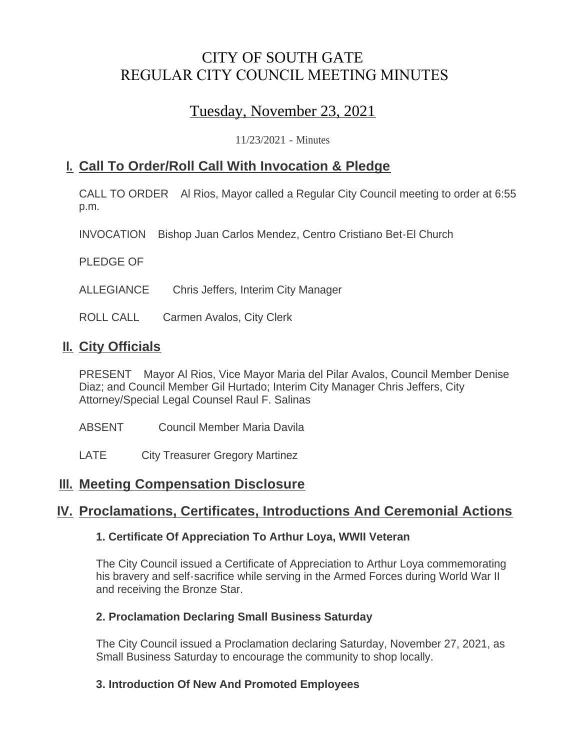# CITY OF SOUTH GATE REGULAR CITY COUNCIL MEETING MINUTES

# Tuesday, November 23, 2021

11/23/2021 - Minutes

## **Call To Order/Roll Call With Invocation & Pledge I.**

CALL TO ORDER Al Rios, Mayor called a Regular City Council meeting to order at 6:55 p.m.

INVOCATION Bishop Juan Carlos Mendez, Centro Cristiano Bet-El Church

PLEDGE OF

ALLEGIANCE Chris Jeffers, Interim City Manager

ROLL CALL Carmen Avalos, City Clerk

## **II.** City Officials

PRESENT Mayor Al Rios, Vice Mayor Maria del Pilar Avalos, Council Member Denise Diaz; and Council Member Gil Hurtado; Interim City Manager Chris Jeffers, City Attorney/Special Legal Counsel Raul F. Salinas

- ABSENT Council Member Maria Davila
- LATE City Treasurer Gregory Martinez

## **Meeting Compensation Disclosure III.**

## **Proclamations, Certificates, Introductions And Ceremonial Actions IV.**

### **1. Certificate Of Appreciation To Arthur Loya, WWII Veteran**

The City Council issued a Certificate of Appreciation to Arthur Loya commemorating his bravery and self-sacrifice while serving in the Armed Forces during World War II and receiving the Bronze Star.

### **2. Proclamation Declaring Small Business Saturday**

The City Council issued a Proclamation declaring Saturday, November 27, 2021, as Small Business Saturday to encourage the community to shop locally.

### **3. Introduction Of New And Promoted Employees**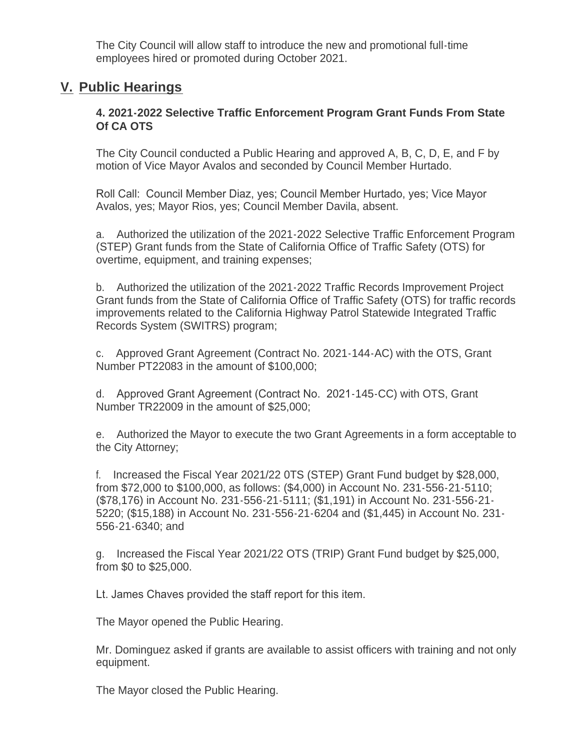The City Council will allow staff to introduce the new and promotional full-time employees hired or promoted during October 2021.

## **Public Hearings V.**

### **4. 2021-2022 Selective Traffic Enforcement Program Grant Funds From State Of CA OTS**

The City Council conducted a Public Hearing and approved A, B, C, D, E, and F by motion of Vice Mayor Avalos and seconded by Council Member Hurtado.

Roll Call: Council Member Diaz, yes; Council Member Hurtado, yes; Vice Mayor Avalos, yes; Mayor Rios, yes; Council Member Davila, absent.

a. Authorized the utilization of the 2021-2022 Selective Traffic Enforcement Program (STEP) Grant funds from the State of California Office of Traffic Safety (OTS) for overtime, equipment, and training expenses;

b. Authorized the utilization of the 2021-2022 Traffic Records Improvement Project Grant funds from the State of California Office of Traffic Safety (OTS) for traffic records improvements related to the California Highway Patrol Statewide Integrated Traffic Records System (SWITRS) program;

c. Approved Grant Agreement (Contract No. 2021-144-AC) with the OTS, Grant Number PT22083 in the amount of \$100,000;

d. Approved Grant Agreement (Contract No. 2021-145-CC) with OTS, Grant Number TR22009 in the amount of \$25,000;

e. Authorized the Mayor to execute the two Grant Agreements in a form acceptable to the City Attorney;

f. Increased the Fiscal Year 2021/22 0TS (STEP) Grant Fund budget by \$28,000, from \$72,000 to \$100,000, as follows: (\$4,000) in Account No. 231-556-21-5110; (\$78,176) in Account No. 231-556-21-5111; (\$1,191) in Account No. 231-556-21- 5220; (\$15,188) in Account No. 231-556-21-6204 and (\$1,445) in Account No. 231- 556-21-6340; and

g. Increased the Fiscal Year 2021/22 OTS (TRIP) Grant Fund budget by \$25,000, from \$0 to \$25,000.

Lt. James Chaves provided the staff report for this item.

The Mayor opened the Public Hearing.

Mr. Dominguez asked if grants are available to assist officers with training and not only equipment.

The Mayor closed the Public Hearing.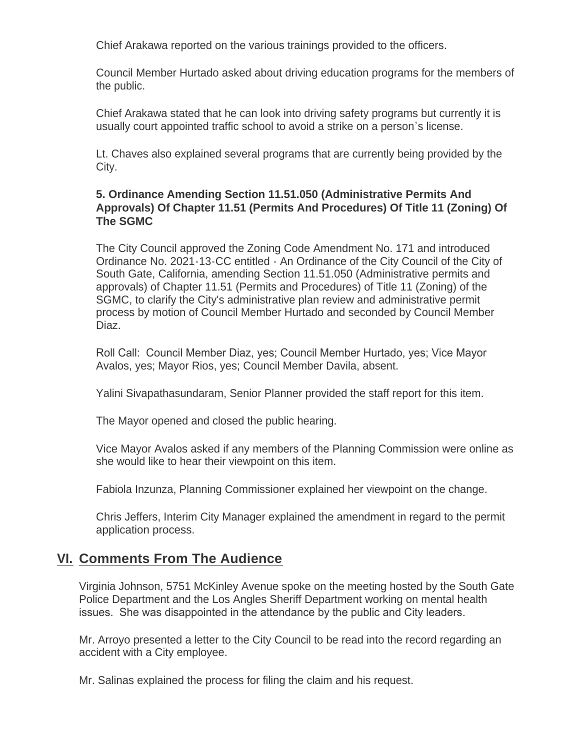Chief Arakawa reported on the various trainings provided to the officers.

Council Member Hurtado asked about driving education programs for the members of the public.

Chief Arakawa stated that he can look into driving safety programs but currently it is usually court appointed traffic school to avoid a strike on a person's license.

Lt. Chaves also explained several programs that are currently being provided by the City.

### **5. Ordinance Amending Section 11.51.050 (Administrative Permits And Approvals) Of Chapter 11.51 (Permits And Procedures) Of Title 11 (Zoning) Of The SGMC**

The City Council approved the Zoning Code Amendment No. 171 and introduced Ordinance No. 2021-13-CC entitled - An Ordinance of the City Council of the City of South Gate, California, amending Section 11.51.050 (Administrative permits and approvals) of Chapter 11.51 (Permits and Procedures) of Title 11 (Zoning) of the SGMC, to clarify the City's administrative plan review and administrative permit process by motion of Council Member Hurtado and seconded by Council Member Diaz.

Roll Call: Council Member Diaz, yes; Council Member Hurtado, yes; Vice Mayor Avalos, yes; Mayor Rios, yes; Council Member Davila, absent.

Yalini Sivapathasundaram, Senior Planner provided the staff report for this item.

The Mayor opened and closed the public hearing.

Vice Mayor Avalos asked if any members of the Planning Commission were online as she would like to hear their viewpoint on this item.

Fabiola Inzunza, Planning Commissioner explained her viewpoint on the change.

Chris Jeffers, Interim City Manager explained the amendment in regard to the permit application process.

# **<u>VI. Comments From The Audience</u>**

Virginia Johnson, 5751 McKinley Avenue spoke on the meeting hosted by the South Gate Police Department and the Los Angles Sheriff Department working on mental health issues. She was disappointed in the attendance by the public and City leaders.

Mr. Arroyo presented a letter to the City Council to be read into the record regarding an accident with a City employee.

Mr. Salinas explained the process for filing the claim and his request.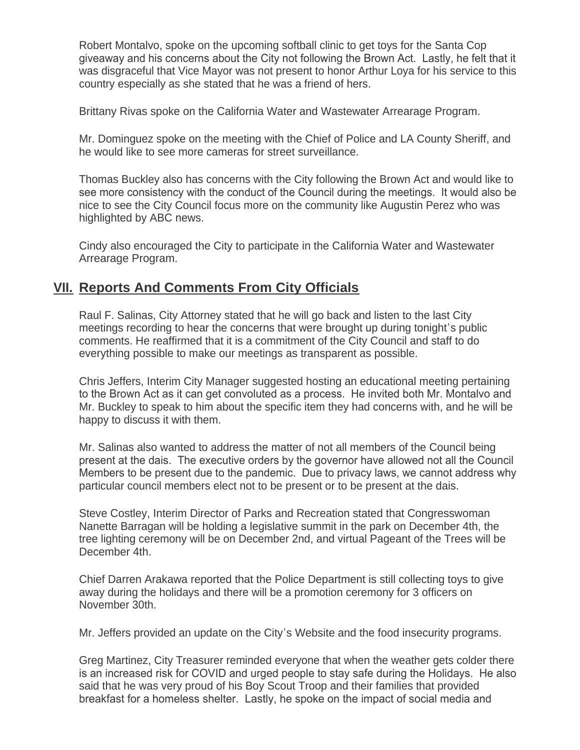Robert Montalvo, spoke on the upcoming softball clinic to get toys for the Santa Cop giveaway and his concerns about the City not following the Brown Act. Lastly, he felt that it was disgraceful that Vice Mayor was not present to honor Arthur Loya for his service to this country especially as she stated that he was a friend of hers.

Brittany Rivas spoke on the California Water and Wastewater Arrearage Program.

Mr. Dominguez spoke on the meeting with the Chief of Police and LA County Sheriff, and he would like to see more cameras for street surveillance.

Thomas Buckley also has concerns with the City following the Brown Act and would like to see more consistency with the conduct of the Council during the meetings. It would also be nice to see the City Council focus more on the community like Augustin Perez who was highlighted by ABC news.

Cindy also encouraged the City to participate in the California Water and Wastewater Arrearage Program.

## **<u>VII. Reports And Comments From City Officials</u>**

Raul F. Salinas, City Attorney stated that he will go back and listen to the last City meetings recording to hear the concerns that were brought up during tonight's public comments. He reaffirmed that it is a commitment of the City Council and staff to do everything possible to make our meetings as transparent as possible.

Chris Jeffers, Interim City Manager suggested hosting an educational meeting pertaining to the Brown Act as it can get convoluted as a process. He invited both Mr. Montalvo and Mr. Buckley to speak to him about the specific item they had concerns with, and he will be happy to discuss it with them.

Mr. Salinas also wanted to address the matter of not all members of the Council being present at the dais. The executive orders by the governor have allowed not all the Council Members to be present due to the pandemic. Due to privacy laws, we cannot address why particular council members elect not to be present or to be present at the dais.

Steve Costley, Interim Director of Parks and Recreation stated that Congresswoman Nanette Barragan will be holding a legislative summit in the park on December 4th, the tree lighting ceremony will be on December 2nd, and virtual Pageant of the Trees will be December 4th.

Chief Darren Arakawa reported that the Police Department is still collecting toys to give away during the holidays and there will be a promotion ceremony for 3 officers on November 30th.

Mr. Jeffers provided an update on the City's Website and the food insecurity programs.

Greg Martinez, City Treasurer reminded everyone that when the weather gets colder there is an increased risk for COVID and urged people to stay safe during the Holidays. He also said that he was very proud of his Boy Scout Troop and their families that provided breakfast for a homeless shelter. Lastly, he spoke on the impact of social media and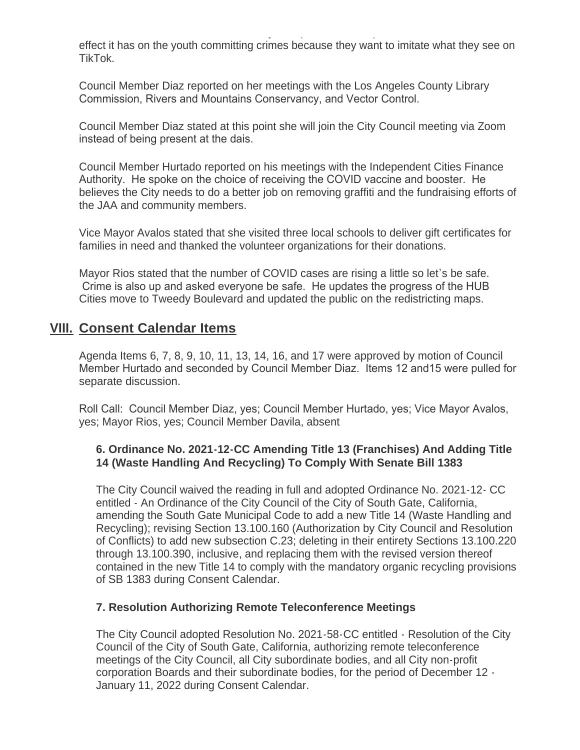breakfast for a homeless shelter. Lastly, he spoke on the impact of social media and effect it has on the youth committing crimes because they want to imitate what they see on TikTok.

Council Member Diaz reported on her meetings with the Los Angeles County Library Commission, Rivers and Mountains Conservancy, and Vector Control.

Council Member Diaz stated at this point she will join the City Council meeting via Zoom instead of being present at the dais.

Council Member Hurtado reported on his meetings with the Independent Cities Finance Authority. He spoke on the choice of receiving the COVID vaccine and booster. He believes the City needs to do a better job on removing graffiti and the fundraising efforts of the JAA and community members.

Vice Mayor Avalos stated that she visited three local schools to deliver gift certificates for families in need and thanked the volunteer organizations for their donations.

Mayor Rios stated that the number of COVID cases are rising a little so let's be safe. Crime is also up and asked everyone be safe. He updates the progress of the HUB Cities move to Tweedy Boulevard and updated the public on the redistricting maps.

## **Consent Calendar Items VIII.**

Agenda Items 6, 7, 8, 9, 10, 11, 13, 14, 16, and 17 were approved by motion of Council Member Hurtado and seconded by Council Member Diaz. Items 12 and15 were pulled for separate discussion.

Roll Call: Council Member Diaz, yes; Council Member Hurtado, yes; Vice Mayor Avalos, yes; Mayor Rios, yes; Council Member Davila, absent

### **6. Ordinance No. 2021-12-CC Amending Title 13 (Franchises) And Adding Title 14 (Waste Handling And Recycling) To Comply With Senate Bill 1383**

The City Council waived the reading in full and adopted Ordinance No. 2021-12- CC entitled - An Ordinance of the City Council of the City of South Gate, California, amending the South Gate Municipal Code to add a new Title 14 (Waste Handling and Recycling); revising Section 13.100.160 (Authorization by City Council and Resolution of Conflicts) to add new subsection C.23; deleting in their entirety Sections 13.100.220 through 13.100.390, inclusive, and replacing them with the revised version thereof contained in the new Title 14 to comply with the mandatory organic recycling provisions of SB 1383 during Consent Calendar.

#### **7. Resolution Authorizing Remote Teleconference Meetings**

The City Council adopted Resolution No. 2021-58-CC entitled - Resolution of the City Council of the City of South Gate, California, authorizing remote teleconference meetings of the City Council, all City subordinate bodies, and all City non-profit corporation Boards and their subordinate bodies, for the period of December 12 - January 11, 2022 during Consent Calendar.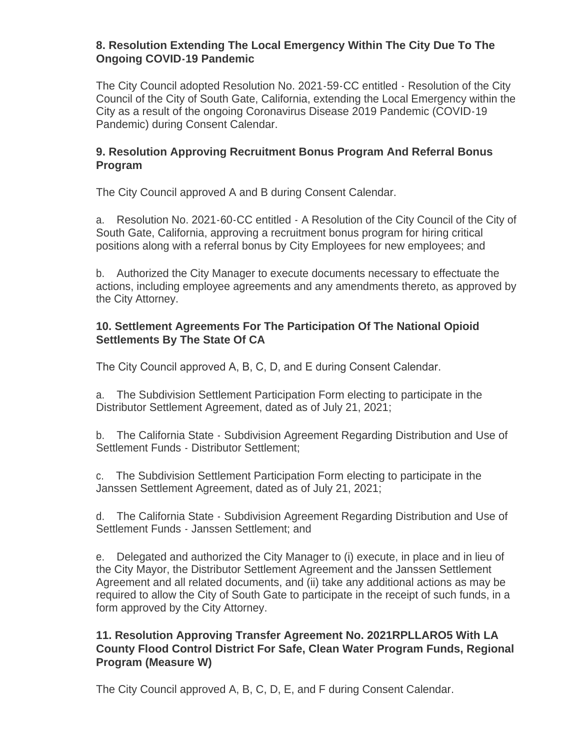#### **8. Resolution Extending The Local Emergency Within The City Due To The Ongoing COVID-19 Pandemic**

The City Council adopted Resolution No. 2021-59-CC entitled - Resolution of the City Council of the City of South Gate, California, extending the Local Emergency within the City as a result of the ongoing Coronavirus Disease 2019 Pandemic (COVID-19 Pandemic) during Consent Calendar.

### **9. Resolution Approving Recruitment Bonus Program And Referral Bonus Program**

The City Council approved A and B during Consent Calendar.

a. Resolution No. 2021-60-CC entitled - A Resolution of the City Council of the City of South Gate, California, approving a recruitment bonus program for hiring critical positions along with a referral bonus by City Employees for new employees; and

b. Authorized the City Manager to execute documents necessary to effectuate the actions, including employee agreements and any amendments thereto, as approved by the City Attorney.

### **10. Settlement Agreements For The Participation Of The National Opioid Settlements By The State Of CA**

The City Council approved A, B, C, D, and E during Consent Calendar.

a. The Subdivision Settlement Participation Form electing to participate in the Distributor Settlement Agreement, dated as of July 21, 2021;

b. The California State - Subdivision Agreement Regarding Distribution and Use of Settlement Funds - Distributor Settlement;

c. The Subdivision Settlement Participation Form electing to participate in the Janssen Settlement Agreement, dated as of July 21, 2021;

d. The California State - Subdivision Agreement Regarding Distribution and Use of Settlement Funds - Janssen Settlement; and

e. Delegated and authorized the City Manager to (i) execute, in place and in lieu of the City Mayor, the Distributor Settlement Agreement and the Janssen Settlement Agreement and all related documents, and (ii) take any additional actions as may be required to allow the City of South Gate to participate in the receipt of such funds, in a form approved by the City Attorney.

### **11. Resolution Approving Transfer Agreement No. 2021RPLLARO5 With LA County Flood Control District For Safe, Clean Water Program Funds, Regional Program (Measure W)**

The City Council approved A, B, C, D, E, and F during Consent Calendar.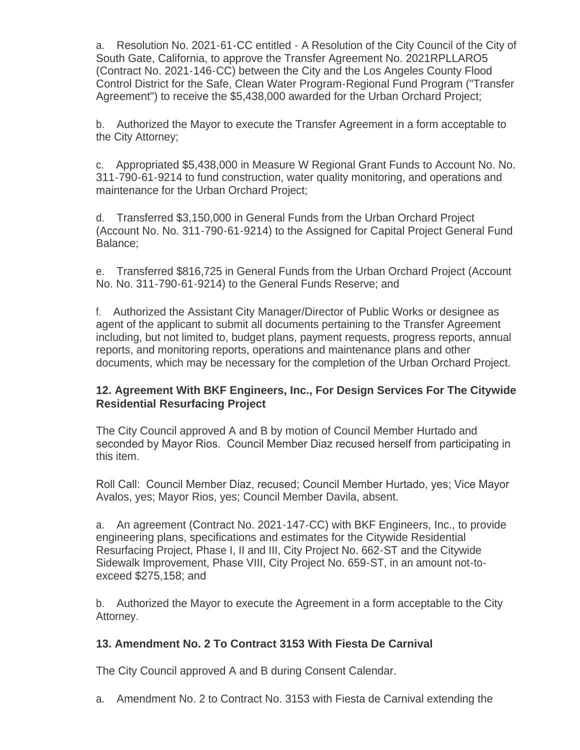a. Resolution No. 2021-61-CC entitled - A Resolution of the City Council of the City of South Gate, California, to approve the Transfer Agreement No. 2021RPLLARO5 (Contract No. 2021-146-CC) between the City and the Los Angeles County Flood Control District for the Safe, Clean Water Program-Regional Fund Program ("Transfer Agreement") to receive the \$5,438,000 awarded for the Urban Orchard Project;

b. Authorized the Mayor to execute the Transfer Agreement in a form acceptable to the City Attorney;

c. Appropriated \$5,438,000 in Measure W Regional Grant Funds to Account No. No. 311-790-61-9214 to fund construction, water quality monitoring, and operations and maintenance for the Urban Orchard Project;

d. Transferred \$3,150,000 in General Funds from the Urban Orchard Project (Account No. No. 311-790-61-9214) to the Assigned for Capital Project General Fund Balance;

e. Transferred \$816,725 in General Funds from the Urban Orchard Project (Account No. No. 311-790-61-9214) to the General Funds Reserve; and

f. Authorized the Assistant City Manager/Director of Public Works or designee as agent of the applicant to submit all documents pertaining to the Transfer Agreement including, but not limited to, budget plans, payment requests, progress reports, annual reports, and monitoring reports, operations and maintenance plans and other documents, which may be necessary for the completion of the Urban Orchard Project.

### **12. Agreement With BKF Engineers, Inc., For Design Services For The Citywide Residential Resurfacing Project**

The City Council approved A and B by motion of Council Member Hurtado and seconded by Mayor Rios. Council Member Diaz recused herself from participating in this item.

Roll Call: Council Member Diaz, recused; Council Member Hurtado, yes; Vice Mayor Avalos, yes; Mayor Rios, yes; Council Member Davila, absent.

a. An agreement (Contract No. 2021-147-CC) with BKF Engineers, Inc., to provide engineering plans, specifications and estimates for the Citywide Residential Resurfacing Project, Phase I, II and III, City Project No. 662-ST and the Citywide Sidewalk Improvement, Phase VIII, City Project No. 659-ST, in an amount not-toexceed \$275,158; and

b. Authorized the Mayor to execute the Agreement in a form acceptable to the City Attorney.

### **13. Amendment No. 2 To Contract 3153 With Fiesta De Carnival**

The City Council approved A and B during Consent Calendar.

a. Amendment No. 2 to Contract No. 3153 with Fiesta de Carnival extending the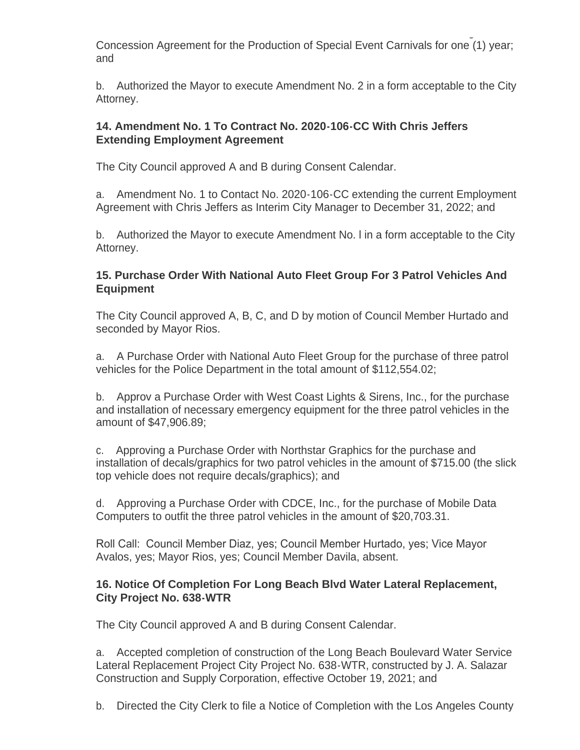a. Amendment No. 2 to Contract No. 3153 with Fiesta de Carnival extending the Concession Agreement for the Production of Special Event Carnivals for one (1) year; and

b. Authorized the Mayor to execute Amendment No. 2 in a form acceptable to the City Attorney.

### **14. Amendment No. 1 To Contract No. 2020-106-CC With Chris Jeffers Extending Employment Agreement**

The City Council approved A and B during Consent Calendar.

a. Amendment No. 1 to Contact No. 2020-106-CC extending the current Employment Agreement with Chris Jeffers as Interim City Manager to December 31, 2022; and

b. Authorized the Mayor to execute Amendment No. l in a form acceptable to the City Attorney.

### **15. Purchase Order With National Auto Fleet Group For 3 Patrol Vehicles And Equipment**

The City Council approved A, B, C, and D by motion of Council Member Hurtado and seconded by Mayor Rios.

a. A Purchase Order with National Auto Fleet Group for the purchase of three patrol vehicles for the Police Department in the total amount of \$112,554.02;

b. Approv a Purchase Order with West Coast Lights & Sirens, Inc., for the purchase and installation of necessary emergency equipment for the three patrol vehicles in the amount of \$47,906.89;

c. Approving a Purchase Order with Northstar Graphics for the purchase and installation of decals/graphics for two patrol vehicles in the amount of \$715.00 (the slick top vehicle does not require decals/graphics); and

d. Approving a Purchase Order with CDCE, Inc., for the purchase of Mobile Data Computers to outfit the three patrol vehicles in the amount of \$20,703.31.

Roll Call: Council Member Diaz, yes; Council Member Hurtado, yes; Vice Mayor Avalos, yes; Mayor Rios, yes; Council Member Davila, absent.

### **16. Notice Of Completion For Long Beach Blvd Water Lateral Replacement, City Project No. 638-WTR**

The City Council approved A and B during Consent Calendar.

a. Accepted completion of construction of the Long Beach Boulevard Water Service Lateral Replacement Project City Project No. 638-WTR, constructed by J. A. Salazar Construction and Supply Corporation, effective October 19, 2021; and

b. Directed the City Clerk to file a Notice of Completion with the Los Angeles County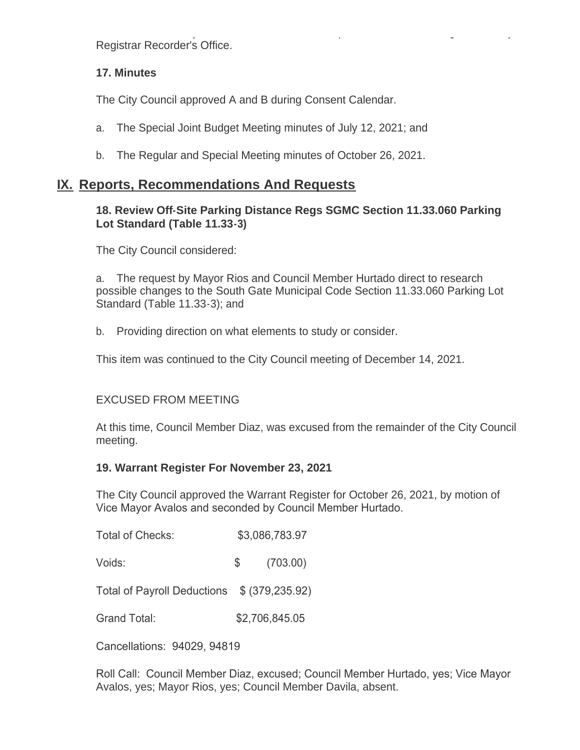b. Directed the City Clerk to file a Notice of Completion with the Los Angeles County Registrar Recorder's Office.

### **17. Minutes**

The City Council approved A and B during Consent Calendar.

- a. The Special Joint Budget Meeting minutes of July 12, 2021; and
- b. The Regular and Special Meeting minutes of October 26, 2021.

## **IX. Reports, Recommendations And Requests**

#### **18. Review Off-Site Parking Distance Regs SGMC Section 11.33.060 Parking Lot Standard (Table 11.33-3)**

The City Council considered:

a. The request by Mayor Rios and Council Member Hurtado direct to research possible changes to the South Gate Municipal Code Section 11.33.060 Parking Lot Standard (Table 11.33-3); and

b. Providing direction on what elements to study or consider.

This item was continued to the City Council meeting of December 14, 2021.

### EXCUSED FROM MEETING

At this time, Council Member Diaz, was excused from the remainder of the City Council meeting.

#### **19. Warrant Register For November 23, 2021**

The City Council approved the Warrant Register for October 26, 2021, by motion of Vice Mayor Avalos and seconded by Council Member Hurtado.

- Total of Checks: \$3,086,783.97
- Voids: \$ (703.00)

Total of Payroll Deductions \$ (379,235.92)

Grand Total: \$2,706,845.05

Cancellations: 94029, 94819

Roll Call: Council Member Diaz, excused; Council Member Hurtado, yes; Vice Mayor Avalos, yes; Mayor Rios, yes; Council Member Davila, absent.